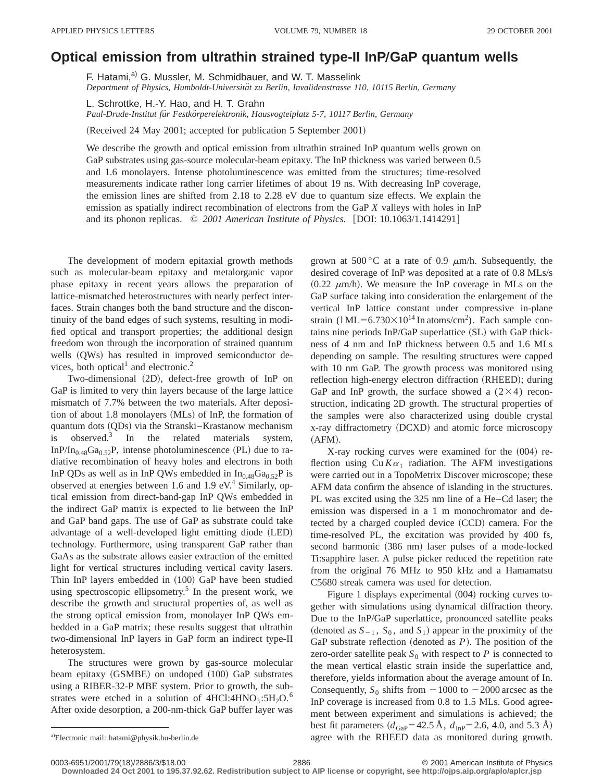## **Optical emission from ultrathin strained type-II InPÕGaP quantum wells**

F. Hatami,<sup>a)</sup> G. Mussler, M. Schmidbauer, and W. T. Masselink *Department of Physics, Humboldt-Universita¨t zu Berlin, Invalidenstrasse 110, 10115 Berlin, Germany*

L. Schrottke, H.-Y. Hao, and H. T. Grahn *Paul-Drude-Institut fu¨r Festko¨rperelektronik, Hausvogteiplatz 5-7, 10117 Berlin, Germany*

(Received 24 May 2001; accepted for publication 5 September 2001)

We describe the growth and optical emission from ultrathin strained InP quantum wells grown on GaP substrates using gas-source molecular-beam epitaxy. The InP thickness was varied between 0.5 and 1.6 monolayers. Intense photoluminescence was emitted from the structures; time-resolved measurements indicate rather long carrier lifetimes of about 19 ns. With decreasing InP coverage, the emission lines are shifted from 2.18 to 2.28 eV due to quantum size effects. We explain the emission as spatially indirect recombination of electrons from the GaP *X* valleys with holes in InP and its phonon replicas.  $\degree$  2001 American Institute of Physics. [DOI: 10.1063/1.1414291]

The development of modern epitaxial growth methods such as molecular-beam epitaxy and metalorganic vapor phase epitaxy in recent years allows the preparation of lattice-mismatched heterostructures with nearly perfect interfaces. Strain changes both the band structure and the discontinuity of the band edges of such systems, resulting in modified optical and transport properties; the additional design freedom won through the incorporation of strained quantum wells (QWs) has resulted in improved semiconductor devices, both optical<sup>1</sup> and electronic.<sup>2</sup>

Two-dimensional (2D), defect-free growth of InP on GaP is limited to very thin layers because of the large lattice mismatch of 7.7% between the two materials. After deposition of about  $1.8$  monolayers  $(MLs)$  of InP, the formation of quantum dots (QDs) via the Stranski–Krastanow mechanism is observed.<sup>3</sup> In the related materials system, InP/In<sub>0.48</sub>Ga<sub>0.52</sub>P, intense photoluminescence (PL) due to radiative recombination of heavy holes and electrons in both InP QDs as well as in InP QWs embedded in  $In_{0.48}Ga_{0.52}P$  is observed at energies between 1.6 and 1.9  $eV<sup>4</sup>$  Similarly, optical emission from direct-band-gap InP QWs embedded in the indirect GaP matrix is expected to lie between the InP and GaP band gaps. The use of GaP as substrate could take advantage of a well-developed light emitting diode (LED) technology. Furthermore, using transparent GaP rather than GaAs as the substrate allows easier extraction of the emitted light for vertical structures including vertical cavity lasers. Thin InP layers embedded in (100) GaP have been studied using spectroscopic ellipsometry.<sup>5</sup> In the present work, we describe the growth and structural properties of, as well as the strong optical emission from, monolayer InP QWs embedded in a GaP matrix; these results suggest that ultrathin two-dimensional InP layers in GaP form an indirect type-II heterosystem.

The structures were grown by gas-source molecular beam epitaxy  $(GSMBE)$  on undoped  $(100)$  GaP substrates using a RIBER-32-P MBE system. Prior to growth, the substrates were etched in a solution of  $4HCl:4HNO<sub>3</sub>:5H<sub>2</sub>O<sup>6</sup>$ After oxide desorption, a 200-nm-thick GaP buffer layer was grown at 500 °C at a rate of 0.9  $\mu$ m/h. Subsequently, the desired coverage of InP was deposited at a rate of 0.8 MLs/s  $(0.22 \mu m/h)$ . We measure the InP coverage in MLs on the GaP surface taking into consideration the enlargement of the vertical InP lattice constant under compressive in-plane strain  $(1ML=6.730\times10^{14} \text{ In atoms/cm}^2)$ . Each sample contains nine periods  $InP/GaP$  superlattice  $(SL)$  with  $GaP$  thickness of 4 nm and InP thickness between 0.5 and 1.6 MLs depending on sample. The resulting structures were capped with 10 nm GaP. The growth process was monitored using reflection high-energy electron diffraction (RHEED); during GaP and InP growth, the surface showed a  $(2\times4)$  reconstruction, indicating 2D growth. The structural properties of the samples were also characterized using double crystal x-ray diffractometry (DCXD) and atomic force microscopy  $(AFM).$ 

X-ray rocking curves were examined for the  $(004)$  reflection using  $Cu K\alpha_1$  radiation. The AFM investigations were carried out in a TopoMetrix Discover microscope; these AFM data confirm the absence of islanding in the structures. PL was excited using the 325 nm line of a He–Cd laser; the emission was dispersed in a 1 m monochromator and detected by a charged coupled device  $(CCD)$  camera. For the time-resolved PL, the excitation was provided by 400 fs, second harmonic (386 nm) laser pulses of a mode-locked Ti:sapphire laser. A pulse picker reduced the repetition rate from the original 76 MHz to 950 kHz and a Hamamatsu C5680 streak camera was used for detection.

Figure 1 displays experimental  $(004)$  rocking curves together with simulations using dynamical diffraction theory. Due to the InP/GaP superlattice, pronounced satellite peaks (denoted as  $S_{-1}$ ,  $S_0$ , and  $S_1$ ) appear in the proximity of the GaP substrate reflection (denoted as  $P$ ). The position of the zero-order satellite peak  $S_0$  with respect to *P* is connected to the mean vertical elastic strain inside the superlattice and, therefore, yields information about the average amount of In. Consequently,  $S_0$  shifts from  $-1000$  to  $-2000$  arcsec as the InP coverage is increased from 0.8 to 1.5 MLs. Good agreement between experiment and simulations is achieved; the best fit parameters  $(d_{\text{Gap}}=42.5 \text{ Å}, d_{\text{InP}}=2.6, 4.0, \text{ and } 5.3 \text{ Å})$ agree with the RHEED data as monitored during growth.

**Downloaded 24 Oct 2001 to 195.37.92.62. Redistribution subject to AIP license or copyright, see http://ojps.aip.org/aplo/aplcr.jsp**

a)Electronic mail: hatami@physik.hu-berlin.de

<sup>0003-6951/2001/79(18)/2886/3/\$18.00 2086 2001</sup> American Institute of Physics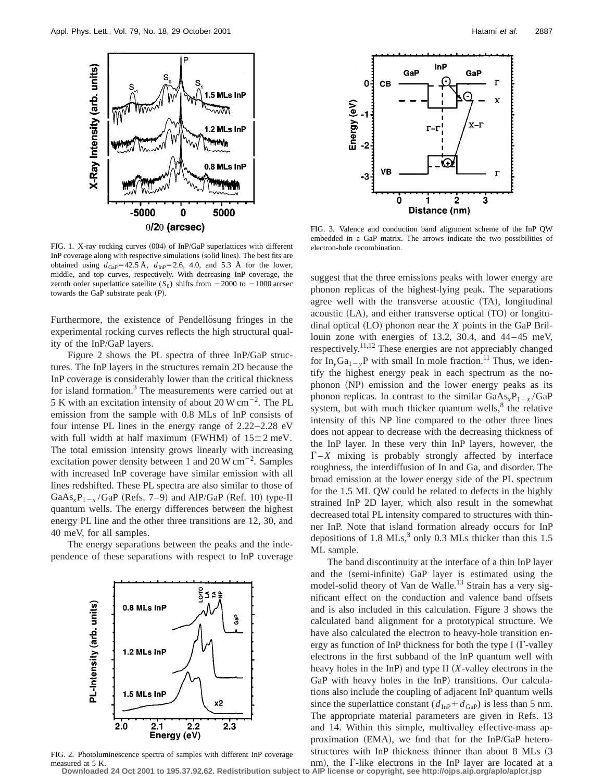

FIG. 1. X-ray rocking curves (004) of InP/GaP superlattices with different InP coverage along with respective simulations (solid lines). The best fits are obtained using  $d_{\text{Gap}}=42.5 \text{ Å}$ ,  $d_{\text{InP}}=2.6$ , 4.0, and 5.3 Å for the lower, middle, and top curves, respectively. With decreasing InP coverage, the zeroth order superlattice satellite  $(S_0)$  shifts from  $-2000$  to  $-1000$  arcsec towards the GaP substrate peak  $(P)$ .

Furthermore, the existence of Pendellösung fringes in the experimental rocking curves reflects the high structural quality of the InP/GaP layers.

Figure 2 shows the PL spectra of three InP/GaP structures. The InP layers in the structures remain 2D because the InP coverage is considerably lower than the critical thickness for island formation.<sup>3</sup> The measurements were carried out at 5 K with an excitation intensity of about 20 W  $\text{cm}^{-2}$ . The PL emission from the sample with 0.8 MLs of InP consists of four intense PL lines in the energy range of 2.22–2.28 eV with full width at half maximum (FWHM) of  $15±2$  meV. The total emission intensity grows linearly with increasing excitation power density between 1 and  $20 \,\mathrm{W \, cm}^{-2}$ . Samples with increased InP coverage have similar emission with all lines redshifted. These PL spectra are also similar to those of GaAs<sub>*x*</sub>P<sub>1-*x*</sub>/GaP (Refs. 7–9) and AlP/GaP (Ref. 10) type-II quantum wells. The energy differences between the highest energy PL line and the other three transitions are 12, 30, and 40 meV, for all samples.

The energy separations between the peaks and the independence of these separations with respect to InP coverage



FIG. 2. Photoluminescence spectra of samples with different InP coverage measured at 5 K.



FIG. 3. Valence and conduction band alignment scheme of the InP QW embedded in a GaP matrix. The arrows indicate the two possibilities of electron-hole recombination.

suggest that the three emissions peaks with lower energy are phonon replicas of the highest-lying peak. The separations agree well with the transverse acoustic  $(TA)$ , longitudinal acoustic  $(LA)$ , and either transverse optical  $(TO)$  or longitudinal optical  $(LO)$  phonon near the *X* points in the GaP Brillouin zone with energies of 13.2, 30.4, and 44–45 meV, respectively.11,12 These energies are not appreciably changed for  $In_vGa_{1-v}$ P with small In mole fraction.<sup>11</sup> Thus, we identify the highest energy peak in each spectrum as the nophonon (NP) emission and the lower energy peaks as its phonon replicas. In contrast to the similar  $GaAs_xP_{1-x}/GaP$ system, but with much thicker quantum wells, $\delta$  the relative intensity of this NP line compared to the other three lines does not appear to decrease with the decreasing thickness of the InP layer. In these very thin InP layers, however, the  $\Gamma$ –*X* mixing is probably strongly affected by interface roughness, the interdiffusion of In and Ga, and disorder. The broad emission at the lower energy side of the PL spectrum for the 1.5 ML QW could be related to defects in the highly strained InP 2D layer, which also result in the somewhat decreased total PL intensity compared to structures with thinner InP. Note that island formation already occurs for InP depositions of 1.8 MLs, $3$  only 0.3 MLs thicker than this 1.5 ML sample.

The band discontinuity at the interface of a thin InP layer and the (semi-infinite) GaP layer is estimated using the model-solid theory of Van de Walle.<sup>13</sup> Strain has a very significant effect on the conduction and valence band offsets and is also included in this calculation. Figure 3 shows the calculated band alignment for a prototypical structure. We have also calculated the electron to heavy-hole transition energy as function of InP thickness for both the type I ( $\Gamma$ -valley electrons in the first subband of the InP quantum well with heavy holes in the InP) and type II  $(X$ -valley electrons in the GaP with heavy holes in the InP) transitions. Our calculations also include the coupling of adjacent InP quantum wells since the superlattice constant  $(d_{\text{InP}}+d_{\text{GaP}})$  is less than 5 nm. The appropriate material parameters are given in Refs. 13 and 14. Within this simple, multivalley effective-mass approximation  $(EMA)$ , we find that for the InP/GaP heterostructures with InP thickness thinner than about 8 MLs (3)

nm), the  $\Gamma$ -like electrons in the InP layer are located at a **Downloaded 24 Oct 2001 to 195.37.92.62. Redistribution subject to AIP license or copyright, see http://ojps.aip.org/aplo/aplcr.jsp**